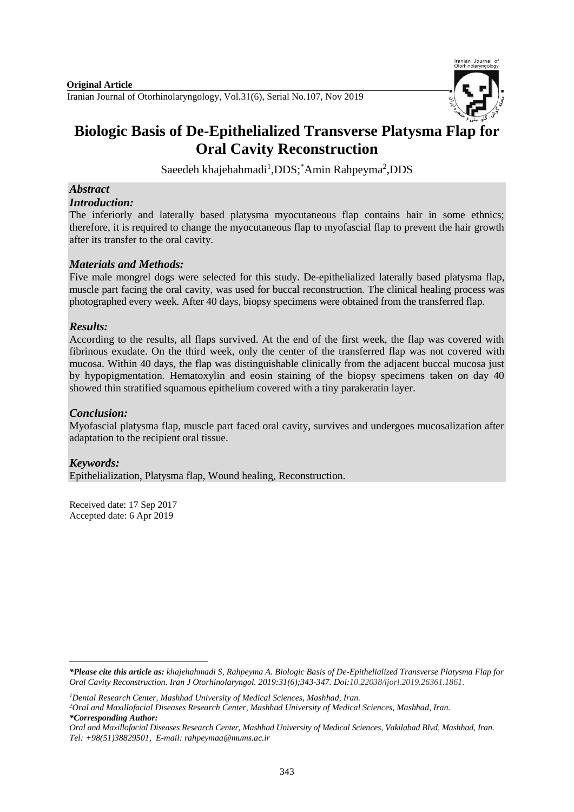

Iranian Journal of

# **Biologic Basis of De-Epithelialized Transverse Platysma Flap for Oral Cavity Reconstruction**

Saeedeh khajehahmadi<sup>1</sup>, DDS; Amin Rahpeyma<sup>2</sup>, DDS

# *Abstract*

*Introduction:*

The inferiorly and laterally based platysma myocutaneous flap contains hair in some ethnics; therefore, it is required to change the myocutaneous flap to myofascial flap to prevent the hair growth after its transfer to the oral cavity.

# *Materials and Methods:*

Five male mongrel dogs were selected for this study. De-epithelialized laterally based platysma flap, muscle part facing the oral cavity, was used for buccal reconstruction. The clinical healing process was photographed every week. After 40 days, biopsy specimens were obtained from the transferred flap.

# *Results:*

According to the results, all flaps survived. At the end of the first week, the flap was covered with fibrinous exudate. On the third week, only the center of the transferred flap was not covered with mucosa. Within 40 days, the flap was distinguishable clinically from the adjacent buccal mucosa just by hypopigmentation. Hematoxylin and eosin staining of the biopsy specimens taken on day 40 showed thin stratified squamous epithelium covered with a tiny parakeratin layer.

# *Conclusion:*

Myofascial platysma flap, muscle part faced oral cavity, survives and undergoes mucosalization after adaptation to the recipient oral tissue.

# *Keywords:*

1

Epithelialization, Platysma flap, Wound healing, Reconstruction.

Received date: 17 Sep 2017 Accepted date: 6 Apr 2019

*<sup>1</sup>Dental Research Center, Mashhad University of Medical Sciences, Mashhad, Iran.*

*<sup>2</sup>Oral and Maxillofacial Diseases Research Center, Mashhad University of Medical Sciences, Mashhad, Iran. \*Corresponding Author:*

*<sup>\*</sup>Please cite this article as: khajehahmadi S, Rahpeyma A. Biologic Basis of De-Epithelialized Transverse Platysma Flap for Oral Cavity Reconstruction. [Iran J Otorhinolaryngol.](https://www.ncbi.nlm.nih.gov/pubmed/?term=Tri-layer+Tympanoplasty+as+a+New+Technique+in+High-risk+Tympanic+Membrane+Perforations) 2019:31(6);343-347. Doi:10.22038/ijorl.2019.26361.1861.*

*Oral and Maxillofacial Diseases Research Center, Mashhad University of Medical Sciences, Vakilabad Blvd, Mashhad, Iran. Tel: +98(51)38829501, E-mail: rahpeymaa@mums.ac.ir*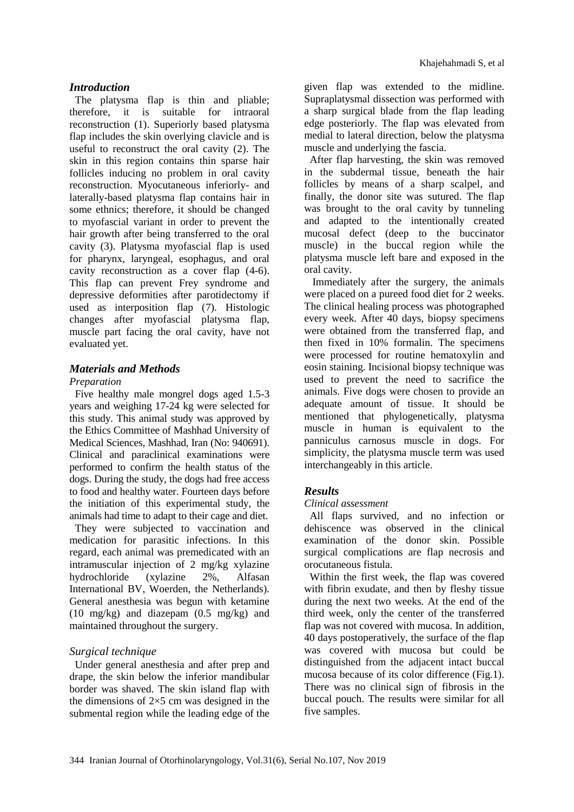#### *Introduction*

The platysma flap is thin and pliable; therefore, it is suitable for intraoral reconstruction (1). Superiorly based platysma flap includes the skin overlying clavicle and is useful to reconstruct the oral cavity (2). The skin in this region contains thin sparse hair follicles inducing no problem in oral cavity reconstruction. Myocutaneous inferiorly- and laterally-based platysma flap contains hair in some ethnics; therefore, it should be changed to myofascial variant in order to prevent the hair growth after being transferred to the oral cavity (3). Platysma myofascial flap is used for pharynx, laryngeal, esophagus, and oral cavity reconstruction as a cover flap (4-6). This flap can prevent Frey syndrome and depressive deformities after parotidectomy if used as interposition flap (7). Histologic changes after myofascial platysma flap, muscle part facing the oral cavity, have not evaluated yet.

#### *Materials and Methods*

#### *Preparation*

Five healthy male mongrel dogs aged 1.5-3 years and weighing 17-24 kg were selected for this study. This animal study was approved by the Ethics Committee of Mashhad University of Medical Sciences, Mashhad, Iran (No: 940691). Clinical and paraclinical examinations were performed to confirm the health status of the dogs. During the study, the dogs had free access to food and healthy water. Fourteen days before the initiation of this experimental study, the animals had time to adapt to their cage and diet.

They were subjected to vaccination and medication for parasitic infections. In this regard, each animal was premedicated with an intramuscular injection of 2 mg/kg xylazine hydrochloride (xylazine 2%, Alfasan International BV, Woerden, the Netherlands). General anesthesia was begun with ketamine (10 mg/kg) and diazepam (0.5 mg/kg) and maintained throughout the surgery.

# *Surgical technique*

Under general anesthesia and after prep and drape, the skin below the inferior mandibular border was shaved. The skin island flap with the dimensions of  $2\times 5$  cm was designed in the submental region while the leading edge of the

given flap was extended to the midline. Supraplatysmal dissection was performed with a sharp surgical blade from the flap leading edge posteriorly. The flap was elevated from medial to lateral direction, below the platysma muscle and underlying the fascia.

After flap harvesting, the skin was removed in the subdermal tissue, beneath the hair follicles by means of a sharp scalpel, and finally, the donor site was sutured. The flap was brought to the oral cavity by tunneling and adapted to the intentionally created mucosal defect (deep to the buccinator muscle) in the buccal region while the platysma muscle left bare and exposed in the oral cavity.

Immediately after the surgery, the animals were placed on a pureed food diet for 2 weeks. The clinical healing process was photographed every week. After 40 days, biopsy specimens were obtained from the transferred flap, and then fixed in 10% formalin. The specimens were processed for routine hematoxylin and eosin staining. Incisional biopsy technique was used to prevent the need to sacrifice the animals. Five dogs were chosen to provide an adequate amount of tissue. It should be mentioned that phylogenetically, platysma muscle in human is equivalent to the panniculus carnosus muscle in dogs. For simplicity, the platysma muscle term was used interchangeably in this article.

# *Results*

#### *Clinical assessment*

All flaps survived, and no infection or dehiscence was observed in the clinical examination of the donor skin. Possible surgical complications are flap necrosis and orocutaneous fistula.

Within the first week, the flap was covered with fibrin exudate, and then by fleshy tissue during the next two weeks. At the end of the third week, only the center of the transferred flap was not covered with mucosa. In addition, 40 days postoperatively, the surface of the flap was covered with mucosa but could be distinguished from the adjacent intact buccal mucosa because of its color difference (Fig.1). There was no clinical sign of fibrosis in the buccal pouch. The results were similar for all five samples.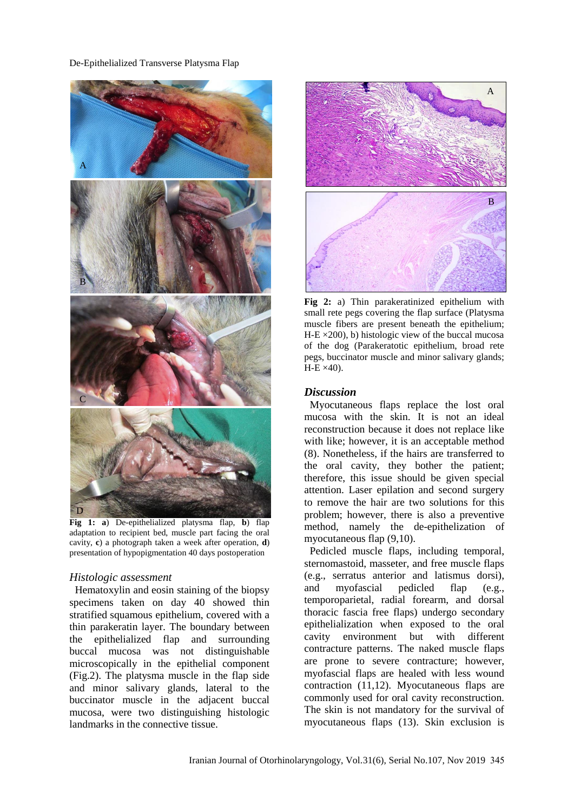#### De-Epithelialized Transverse Platysma Flap



**Fig 1: a**) De-epithelialized platysma flap, **b**) flap adaptation to recipient bed, muscle part facing the oral cavity, **c**) a photograph taken a week after operation, **d**) presentation of hypopigmentation 40 days postoperation

#### *Histologic assessment*

Hematoxylin and eosin staining of the biopsy specimens taken on day 40 showed thin stratified squamous epithelium, covered with a thin parakeratin layer. The boundary between the epithelialized flap and surrounding buccal mucosa was not distinguishable microscopically in the epithelial component (Fig.2). The platysma muscle in the flap side and minor salivary glands, lateral to the buccinator muscle in the adjacent buccal mucosa, were two distinguishing histologic landmarks in the connective tissue.



**Fig 2:** a) Thin parakeratinized epithelium with small rete pegs covering the flap surface (Platysma muscle fibers are present beneath the epithelium;  $H-E \times 200$ , b) histologic view of the buccal mucosa of the dog (Parakeratotic epithelium, broad rete pegs, buccinator muscle and minor salivary glands;  $H-E \times 40$ ).

#### *Discussion*

Myocutaneous flaps replace the lost oral mucosa with the skin. It is not an ideal reconstruction because it does not replace like with like; however, it is an acceptable method (8). Nonetheless, if the hairs are transferred to the oral cavity, they bother the patient; therefore, this issue should be given special attention. Laser epilation and second surgery to remove the hair are two solutions for this problem; however, there is also a preventive method, namely the de-epithelization of myocutaneous flap [\(9](#page-4-0)[,10\)](#page-4-1).

Pedicled muscle flaps, including temporal, sternomastoid, masseter, and free muscle flaps (e.g., serratus anterior and latismus dorsi), and myofascial pedicled flap (e.g., temporoparietal, radial forearm, and dorsal thoracic fascia free flaps) undergo secondary epithelialization when exposed to the oral cavity environment but with different contracture patterns. The naked muscle flaps are prone to severe contracture; however, myofascial flaps are healed with less wound contraction [\(11](#page-4-2)[,12\)](#page-4-3). Myocutaneous flaps are commonly used for oral cavity reconstruction. The skin is not mandatory for the survival of myocutaneous flaps (13). Skin exclusion is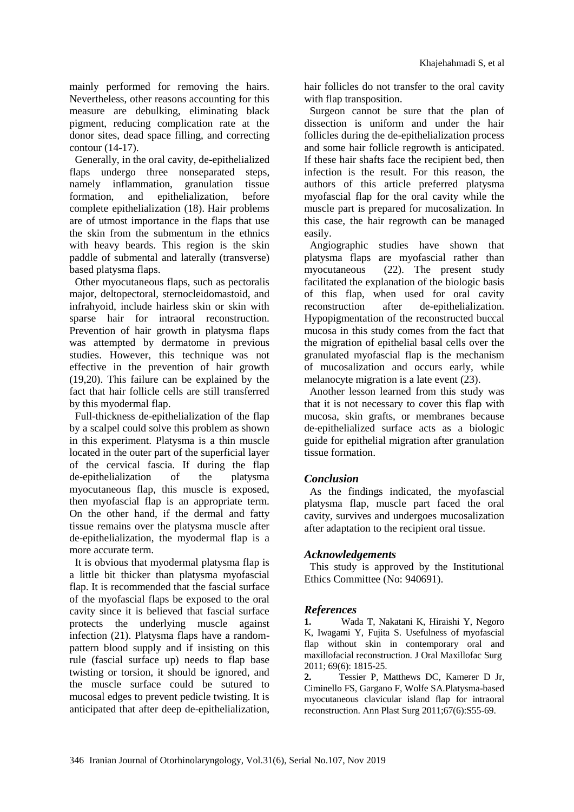mainly performed for removing the hairs. Nevertheless, other reasons accounting for this measure are debulking, eliminating black pigment, reducing complication rate at the donor sites, dead space filling, and correcting contour (14-17).

Generally, in the oral cavity, de-epithelialized flaps undergo three nonseparated steps, namely inflammation, granulation tissue formation, and epithelialization, before complete epithelialization (18). Hair problems are of utmost importance in the flaps that use the skin from the submentum in the ethnics with heavy beards. This region is the skin paddle of submental and laterally (transverse) based platysma flaps.

Other myocutaneous flaps, such as pectoralis major, deltopectoral, sternocleidomastoid, and infrahyoid, include hairless skin or skin with sparse hair for intraoral reconstruction. Prevention of hair growth in platysma flaps was attempted by dermatome in previous studies. However, this technique was not effective in the prevention of hair growth [\(19](#page-4-4)[,20\)](#page-4-5). This failure can be explained by the fact that hair follicle cells are still transferred by this myodermal flap.

Full-thickness de-epithelialization of the flap by a scalpel could solve this problem as shown in this experiment. Platysma is a thin muscle located in the outer part of the superficial layer of the cervical fascia. If during the flap de-epithelialization of the platysma myocutaneous flap, this muscle is exposed, then myofascial flap is an appropriate term. On the other hand, if the dermal and fatty tissue remains over the platysma muscle after de-epithelialization, the myodermal flap is a more accurate term.

It is obvious that myodermal platysma flap is a little bit thicker than platysma myofascial flap. It is recommended that the fascial surface of the myofascial flaps be exposed to the oral cavity since it is believed that fascial surface protects the underlying muscle against infection (21). Platysma flaps have a randompattern blood supply and if insisting on this rule (fascial surface up) needs to flap base twisting or torsion, it should be ignored, and the muscle surface could be sutured to mucosal edges to prevent pedicle twisting. It is anticipated that after deep de-epithelialization, hair follicles do not transfer to the oral cavity with flap transposition.

Surgeon cannot be sure that the plan of dissection is uniform and under the hair follicles during the de-epithelialization process and some hair follicle regrowth is anticipated. If these hair shafts face the recipient bed, then infection is the result. For this reason, the authors of this article preferred platysma myofascial flap for the oral cavity while the muscle part is prepared for mucosalization. In this case, the hair regrowth can be managed easily.

Angiographic studies have shown that platysma flaps are myofascial rather than myocutaneous (22). The present study facilitated the explanation of the biologic basis of this flap, when used for oral cavity reconstruction after de-epithelialization. Hypopigmentation of the reconstructed buccal mucosa in this study comes from the fact that the migration of epithelial basal cells over the granulated myofascial flap is the mechanism of mucosalization and occurs early, while melanocyte migration is a late event (23).

Another lesson learned from this study was that it is not necessary to cover this flap with mucosa, skin grafts, or membranes because de-epithelialized surface acts as a biologic guide for epithelial migration after granulation tissue formation.

# *Conclusion*

As the findings indicated, the myofascial platysma flap, muscle part faced the oral cavity, survives and undergoes mucosalization after adaptation to the recipient oral tissue.

# *Acknowledgements*

This study is approved by the Institutional Ethics Committee (No: 940691).

#### *References*

**1.** Wada T, Nakatani K, Hiraishi Y, Negoro K, Iwagami Y, Fujita S. Usefulness of myofascial flap without skin in contemporary oral and maxillofacial reconstruction. J Oral Maxillofac Surg 2011; 69(6): 1815-25.

**2.** Tessier P, Matthews DC, Kamerer D Jr, Ciminello FS, Gargano F, Wolfe SA.Platysma-based myocutaneous clavicular island flap for intraoral reconstruction. Ann Plast Surg 2011;67(6):S55-69.